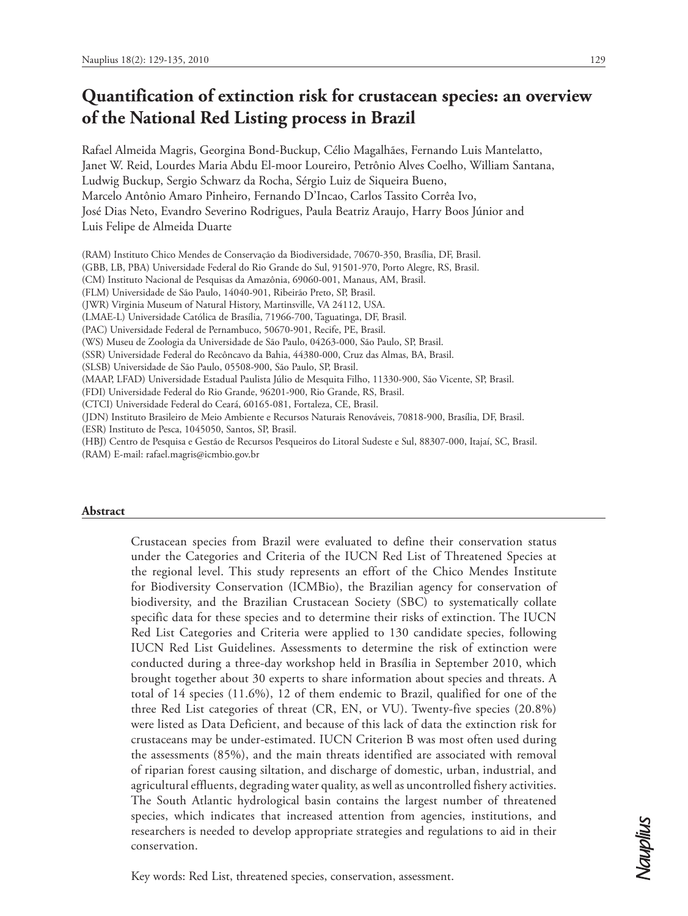# **Quantification of extinction risk for crustacean species: an overview of the National Red Listing process in Brazil**

Rafael Almeida Magris, Georgina Bond-Buckup, Célio Magalhães, Fernando Luis Mantelatto, Janet W. Reid, Lourdes Maria Abdu El-moor Loureiro, Petrônio Alves Coelho, William Santana, Ludwig Buckup, Sergio Schwarz da Rocha, Sérgio Luiz de Siqueira Bueno, Marcelo Antônio Amaro Pinheiro, Fernando D'Incao, Carlos Tassito Corrêa Ivo, José Dias Neto, Evandro Severino Rodrigues, Paula Beatriz Araujo, Harry Boos Júnior and Luis Felipe de Almeida Duarte

- (RAM) Instituto Chico Mendes de Conservação da Biodiversidade, 70670-350, Brasília, DF, Brasil.
- (GBB, LB, PBA) Universidade Federal do Rio Grande do Sul, 91501-970, Porto Alegre, RS, Brasil.
- (CM) Instituto Nacional de Pesquisas da Amazônia, 69060-001, Manaus, AM, Brasil.
- (FLM) Universidade de São Paulo, 14040-901, Ribeirão Preto, SP, Brasil.
- (JWR) Virginia Museum of Natural History, Martinsville, VA 24112, USA.
- (LMAE-L) Universidade Católica de Brasília, 71966-700, Taguatinga, DF, Brasil.
- (PAC) Universidade Federal de Pernambuco, 50670-901, Recife, PE, Brasil.
- (WS) Museu de Zoologia da Universidade de São Paulo, 04263-000, São Paulo, SP, Brasil.
- (SSR) Universidade Federal do Recôncavo da Bahia, 44380-000, Cruz das Almas, BA, Brasil.
- (SLSB) Universidade de São Paulo, 05508-900, São Paulo, SP, Brasil.
- (MAAP, LFAD) Universidade Estadual Paulista Júlio de Mesquita Filho, 11330-900, São Vicente, SP, Brasil.
- (FDI) Universidade Federal do Rio Grande, 96201-900, Rio Grande, RS, Brasil.
- (CTCI) Universidade Federal do Ceará, 60165-081, Fortaleza, CE, Brasil.
- (JDN) Instituto Brasileiro de Meio Ambiente e Recursos Naturais Renováveis, 70818-900, Brasília, DF, Brasil.
- (ESR) Instituto de Pesca, 1045050, Santos, SP, Brasil.
- (HBJ) Centro de Pesquisa e Gestão de Recursos Pesqueiros do Litoral Sudeste e Sul, 88307-000, Itajaí, SC, Brasil.
- (RAM) E-mail: rafael.magris@icmbio.gov.br

#### **Abstract**

Crustacean species from Brazil were evaluated to define their conservation status under the Categories and Criteria of the IUCN Red List of Threatened Species at the regional level. This study represents an effort of the Chico Mendes Institute for Biodiversity Conservation (ICMBio), the Brazilian agency for conservation of biodiversity, and the Brazilian Crustacean Society (SBC) to systematically collate specific data for these species and to determine their risks of extinction. The IUCN Red List Categories and Criteria were applied to 130 candidate species, following IUCN Red List Guidelines. Assessments to determine the risk of extinction were conducted during a three-day workshop held in Brasília in September 2010, which brought together about 30 experts to share information about species and threats. A total of 14 species (11.6%), 12 of them endemic to Brazil, qualified for one of the three Red List categories of threat (CR, EN, or VU). Twenty-five species (20.8%) were listed as Data Deficient, and because of this lack of data the extinction risk for crustaceans may be under-estimated. IUCN Criterion B was most often used during the assessments (85%), and the main threats identified are associated with removal of riparian forest causing siltation, and discharge of domestic, urban, industrial, and agricultural effluents, degrading water quality, as well as uncontrolled fishery activities. The South Atlantic hydrological basin contains the largest number of threatened species, which indicates that increased attention from agencies, institutions, and researchers is needed to develop appropriate strategies and regulations to aid in their conservation.

Key words: Red List, threatened species, conservation, assessment.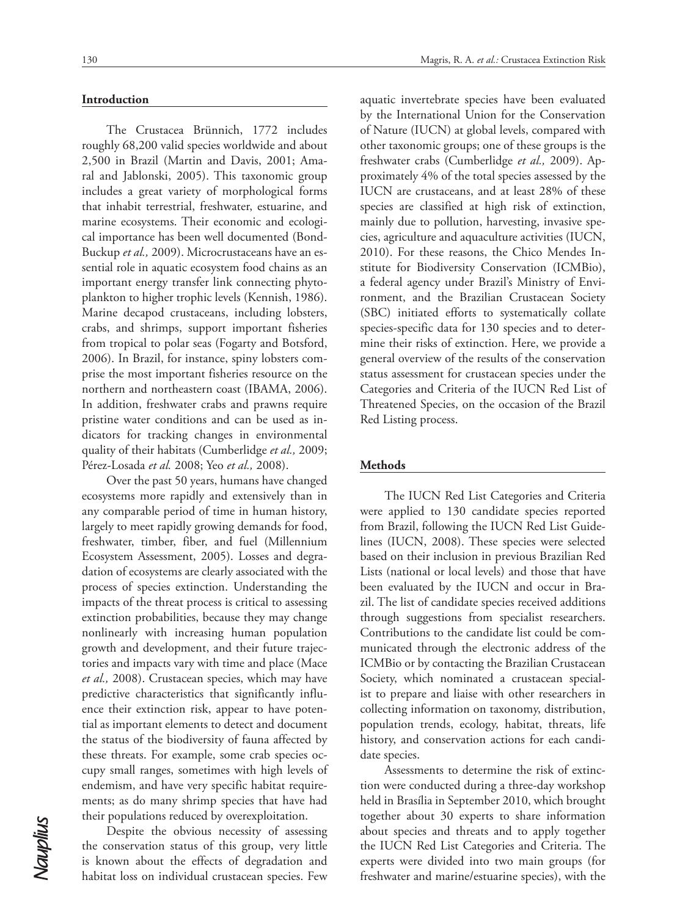# 130 Magris, R. A. *et al.:* Crustacea Extinction Risk

## **Introduction**

The Crustacea Brünnich, 1772 includes roughly 68,200 valid species worldwide and about 2,500 in Brazil (Martin and Davis, 2001; Amaral and Jablonski, 2005). This taxonomic group includes a great variety of morphological forms that inhabit terrestrial, freshwater, estuarine, and marine ecosystems. Their economic and ecological importance has been well documented (Bond-Buckup *et al.,* 2009). Microcrustaceans have an essential role in aquatic ecosystem food chains as an important energy transfer link connecting phytoplankton to higher trophic levels (Kennish, 1986). Marine decapod crustaceans, including lobsters, crabs, and shrimps, support important fisheries from tropical to polar seas (Fogarty and Botsford, 2006). In Brazil, for instance, spiny lobsters comprise the most important fisheries resource on the northern and northeastern coast (IBAMA, 2006). In addition, freshwater crabs and prawns require pristine water conditions and can be used as indicators for tracking changes in environmental quality of their habitats (Cumberlidge *et al.,* 2009; Pérez-Losada *et al.* 2008; Yeo *et al.,* 2008).

Over the past 50 years, humans have changed ecosystems more rapidly and extensively than in any comparable period of time in human history, largely to meet rapidly growing demands for food, freshwater, timber, fiber, and fuel (Millennium Ecosystem Assessment, 2005). Losses and degradation of ecosystems are clearly associated with the process of species extinction. Understanding the impacts of the threat process is critical to assessing extinction probabilities, because they may change nonlinearly with increasing human population growth and development, and their future trajectories and impacts vary with time and place (Mace *et al.,* 2008). Crustacean species, which may have predictive characteristics that significantly influence their extinction risk, appear to have potential as important elements to detect and document the status of the biodiversity of fauna affected by these threats. For example, some crab species occupy small ranges, sometimes with high levels of endemism, and have very specific habitat requirements; as do many shrimp species that have had their populations reduced by overexploitation.

Despite the obvious necessity of assessing the conservation status of this group, very little is known about the effects of degradation and habitat loss on individual crustacean species. Few

aquatic invertebrate species have been evaluated by the International Union for the Conservation of Nature (IUCN) at global levels, compared with other taxonomic groups; one of these groups is the freshwater crabs (Cumberlidge *et al.,* 2009). Approximately 4% of the total species assessed by the IUCN are crustaceans, and at least 28% of these species are classified at high risk of extinction, mainly due to pollution, harvesting, invasive species, agriculture and aquaculture activities (IUCN, 2010). For these reasons, the Chico Mendes Institute for Biodiversity Conservation (ICMBio), a federal agency under Brazil's Ministry of Environment, and the Brazilian Crustacean Society (SBC) initiated efforts to systematically collate species-specific data for 130 species and to determine their risks of extinction. Here, we provide a general overview of the results of the conservation status assessment for crustacean species under the Categories and Criteria of the IUCN Red List of Threatened Species, on the occasion of the Brazil Red Listing process.

#### **Methods**

The IUCN Red List Categories and Criteria were applied to 130 candidate species reported from Brazil, following the IUCN Red List Guidelines (IUCN, 2008). These species were selected based on their inclusion in previous Brazilian Red Lists (national or local levels) and those that have been evaluated by the IUCN and occur in Brazil. The list of candidate species received additions through suggestions from specialist researchers. Contributions to the candidate list could be communicated through the electronic address of the ICMBio or by contacting the Brazilian Crustacean Society, which nominated a crustacean specialist to prepare and liaise with other researchers in collecting information on taxonomy, distribution, population trends, ecology, habitat, threats, life history, and conservation actions for each candidate species.

Assessments to determine the risk of extinction were conducted during a three-day workshop held in Brasília in September 2010, which brought together about 30 experts to share information about species and threats and to apply together the IUCN Red List Categories and Criteria. The experts were divided into two main groups (for freshwater and marine/estuarine species), with the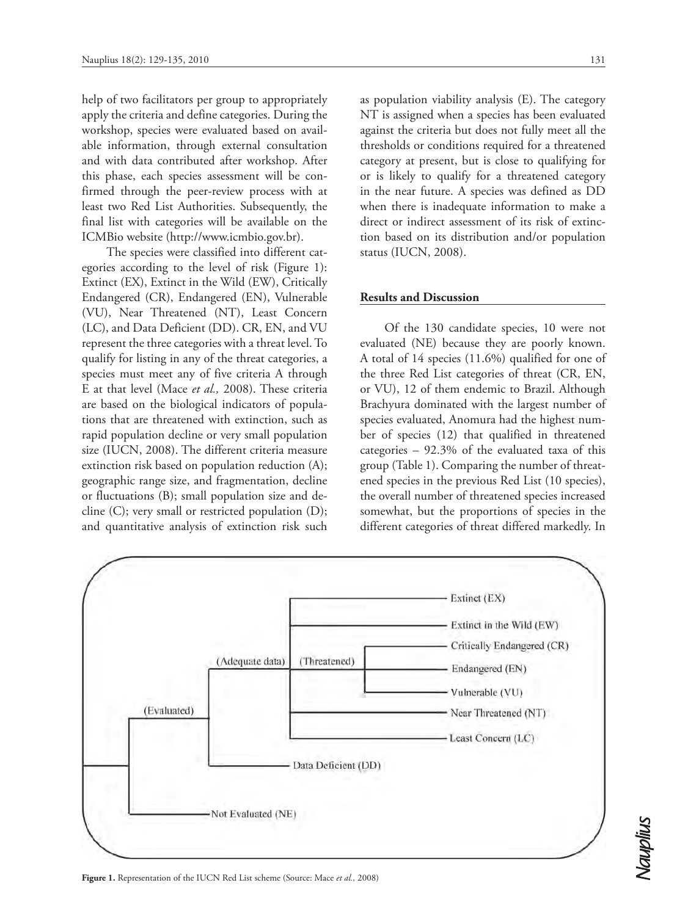help of two facilitators per group to appropriately apply the criteria and define categories. During the workshop, species were evaluated based on available information, through external consultation and with data contributed after workshop. After this phase, each species assessment will be confirmed through the peer-review process with at least two Red List Authorities. Subsequently, the final list with categories will be available on the ICMBio website (http://www.icmbio.gov.br).

The species were classified into different categories according to the level of risk (Figure 1): Extinct (EX), Extinct in the Wild (EW), Critically Endangered (CR), Endangered (EN), Vulnerable (VU), Near Threatened (NT), Least Concern (LC), and Data Deficient (DD). CR, EN, and VU represent the three categories with a threat level. To qualify for listing in any of the threat categories, a species must meet any of five criteria A through E at that level (Mace *et al.,* 2008). These criteria are based on the biological indicators of populations that are threatened with extinction, such as rapid population decline or very small population size (IUCN, 2008). The different criteria measure extinction risk based on population reduction (A); geographic range size, and fragmentation, decline or fluctuations (B); small population size and decline (C); very small or restricted population (D); and quantitative analysis of extinction risk such

as population viability analysis (E). The category NT is assigned when a species has been evaluated against the criteria but does not fully meet all the thresholds or conditions required for a threatened category at present, but is close to qualifying for or is likely to qualify for a threatened category in the near future. A species was defined as DD when there is inadequate information to make a direct or indirect assessment of its risk of extinction based on its distribution and/or population status (IUCN, 2008).

#### **Results and Discussion**

Of the 130 candidate species, 10 were not evaluated (NE) because they are poorly known. A total of 14 species (11.6%) qualified for one of the three Red List categories of threat (CR, EN, or VU), 12 of them endemic to Brazil. Although Brachyura dominated with the largest number of species evaluated, Anomura had the highest number of species (12) that qualified in threatened categories – 92.3% of the evaluated taxa of this group (Table 1). Comparing the number of threatened species in the previous Red List (10 species), the overall number of threatened species increased somewhat, but the proportions of species in the different categories of threat differed markedly. In



**Figure 1.** Representation of the IUCN Red List scheme (Source: Mace *et al.,* 2008)

Nauplius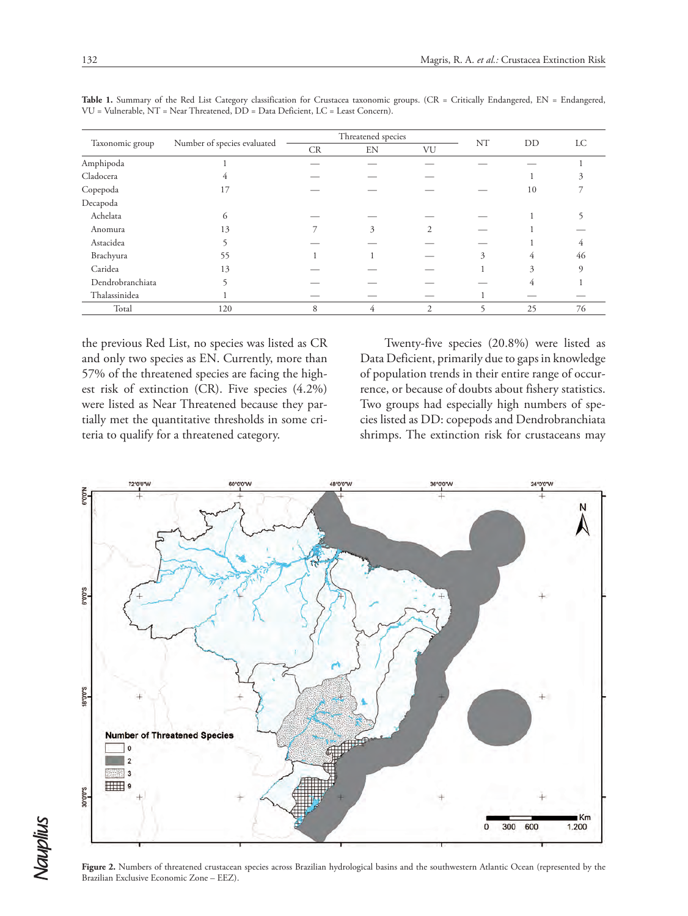| Taxonomic group  | Number of species evaluated | Threatened species |    |    | NT | DD |          |
|------------------|-----------------------------|--------------------|----|----|----|----|----------|
|                  |                             | CR                 | EN | VU |    |    | LC       |
| Amphipoda        |                             |                    |    |    |    |    |          |
| Cladocera        |                             |                    |    |    |    |    |          |
| Copepoda         | 17                          |                    |    |    |    | 10 |          |
| Decapoda         |                             |                    |    |    |    |    |          |
| Achelata         | 6                           |                    |    |    |    |    |          |
| Anomura          | 13                          |                    | 3  | 2  |    |    |          |
| Astacidea        |                             |                    |    |    |    |    |          |
| Brachyura        | 55                          |                    |    |    | 3  | 4  | 46       |
| Caridea          | 13                          |                    |    |    |    | 3  | $\Omega$ |
| Dendrobranchiata |                             |                    |    |    |    | 4  |          |
| Thalassinidea    |                             |                    |    |    |    |    |          |
| Total            | 120                         | 8                  | 4  | 2  |    | 25 | 76       |

Table 1. Summary of the Red List Category classification for Crustacea taxonomic groups. (CR = Critically Endangered, EN = Endangered, VU = Vulnerable, NT = Near Threatened, DD = Data Deficient, LC = Least Concern).

the previous Red List, no species was listed as CR and only two species as EN. Currently, more than 57% of the threatened species are facing the highest risk of extinction (CR). Five species (4.2%) were listed as Near Threatened because they partially met the quantitative thresholds in some criteria to qualify for a threatened category.

Twenty-five species (20.8%) were listed as Data Deficient, primarily due to gaps in knowledge of population trends in their entire range of occurrence, or because of doubts about fishery statistics. Two groups had especially high numbers of species listed as DD: copepods and Dendrobranchiata shrimps. The extinction risk for crustaceans may



Figure 2. Numbers of threatened crustacean species across Brazilian hydrological basins and the southwestern Atlantic Ocean (represented by the Brazilian Exclusive Economic Zone – EEZ).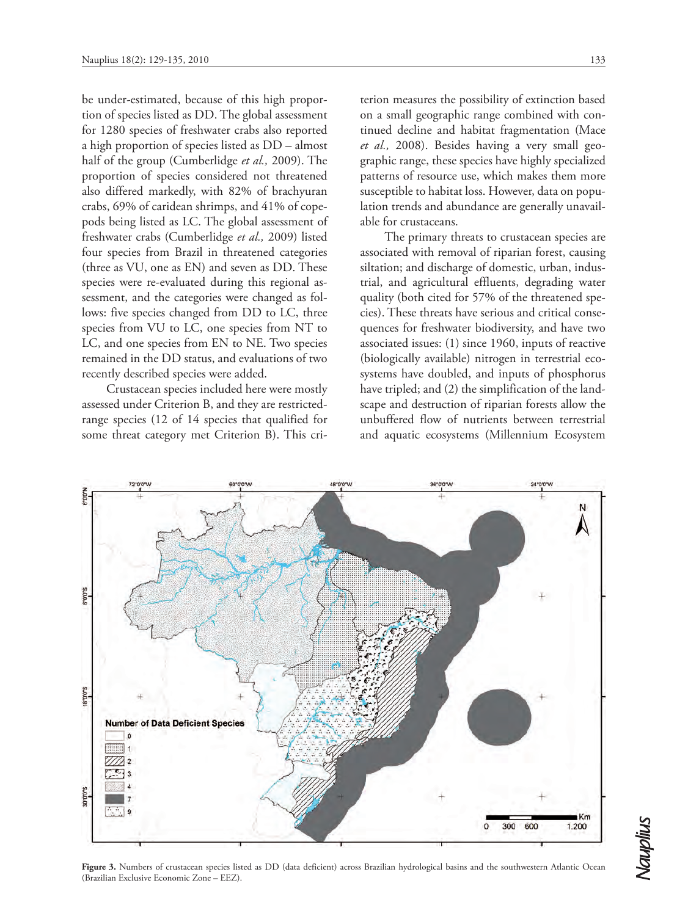be under-estimated, because of this high proportion of species listed as DD. The global assessment for 1280 species of freshwater crabs also reported a high proportion of species listed as DD – almost half of the group (Cumberlidge *et al.,* 2009). The proportion of species considered not threatened also differed markedly, with 82% of brachyuran crabs, 69% of caridean shrimps, and 41% of copepods being listed as LC. The global assessment of freshwater crabs (Cumberlidge *et al.,* 2009) listed four species from Brazil in threatened categories (three as VU, one as EN) and seven as DD. These species were re-evaluated during this regional assessment, and the categories were changed as follows: five species changed from DD to LC, three species from VU to LC, one species from NT to LC, and one species from EN to NE. Two species remained in the DD status, and evaluations of two recently described species were added.

Crustacean species included here were mostly assessed under Criterion B, and they are restrictedrange species (12 of 14 species that qualified for some threat category met Criterion B). This criterion measures the possibility of extinction based on a small geographic range combined with continued decline and habitat fragmentation (Mace *et al.,* 2008). Besides having a very small geographic range, these species have highly specialized patterns of resource use, which makes them more susceptible to habitat loss. However, data on population trends and abundance are generally unavailable for crustaceans.

The primary threats to crustacean species are associated with removal of riparian forest, causing siltation; and discharge of domestic, urban, industrial, and agricultural effluents, degrading water quality (both cited for 57% of the threatened species). These threats have serious and critical consequences for freshwater biodiversity, and have two associated issues: (1) since 1960, inputs of reactive (biologically available) nitrogen in terrestrial ecosystems have doubled, and inputs of phosphorus have tripled; and (2) the simplification of the landscape and destruction of riparian forests allow the unbuffered flow of nutrients between terrestrial and aquatic ecosystems (Millennium Ecosystem



Figure 3. Numbers of crustacean species listed as DD (data deficient) across Brazilian hydrological basins and the southwestern Atlantic Ocean (Brazilian Exclusive Economic Zone – EEZ).

Nauplius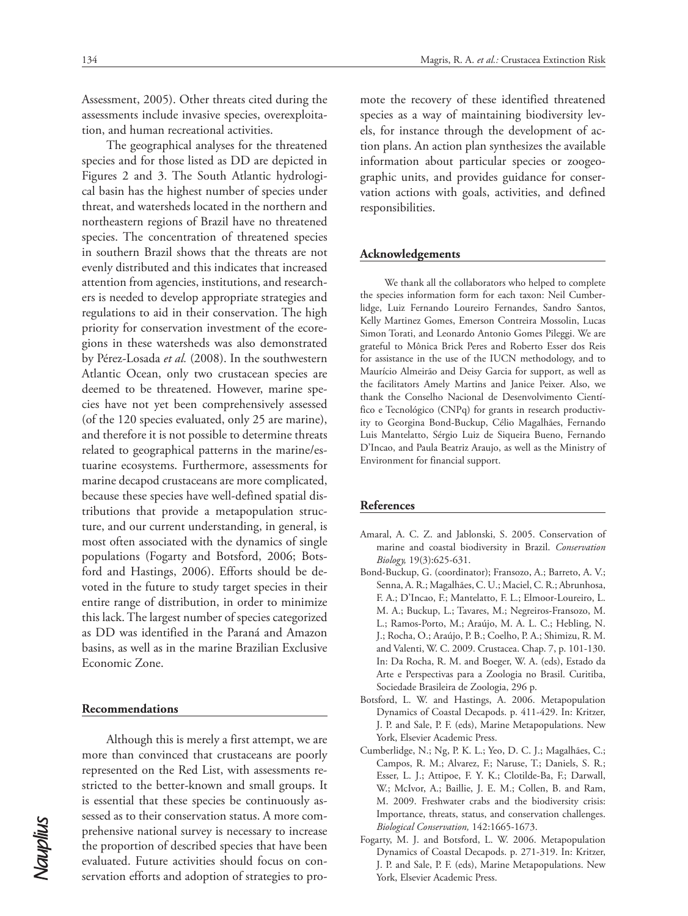Assessment, 2005). Other threats cited during the assessments include invasive species, overexploitation, and human recreational activities.

The geographical analyses for the threatened species and for those listed as DD are depicted in Figures 2 and 3. The South Atlantic hydrological basin has the highest number of species under threat, and watersheds located in the northern and northeastern regions of Brazil have no threatened species. The concentration of threatened species in southern Brazil shows that the threats are not evenly distributed and this indicates that increased attention from agencies, institutions, and researchers is needed to develop appropriate strategies and regulations to aid in their conservation. The high priority for conservation investment of the ecoregions in these watersheds was also demonstrated by Pérez-Losada *et al.* (2008). In the southwestern Atlantic Ocean, only two crustacean species are deemed to be threatened. However, marine species have not yet been comprehensively assessed (of the 120 species evaluated, only 25 are marine), and therefore it is not possible to determine threats related to geographical patterns in the marine/estuarine ecosystems. Furthermore, assessments for marine decapod crustaceans are more complicated, because these species have well-defined spatial distributions that provide a metapopulation structure, and our current understanding, in general, is most often associated with the dynamics of single populations (Fogarty and Botsford, 2006; Botsford and Hastings, 2006). Efforts should be devoted in the future to study target species in their entire range of distribution, in order to minimize this lack. The largest number of species categorized as DD was identified in the Paraná and Amazon basins, as well as in the marine Brazilian Exclusive Economic Zone.

## **Recommendations**

Although this is merely a first attempt, we are more than convinced that crustaceans are poorly represented on the Red List, with assessments restricted to the better-known and small groups. It is essential that these species be continuously assessed as to their conservation status. A more comprehensive national survey is necessary to increase the proportion of described species that have been evaluated. Future activities should focus on conservation efforts and adoption of strategies to promote the recovery of these identified threatened species as a way of maintaining biodiversity levels, for instance through the development of action plans. An action plan synthesizes the available information about particular species or zoogeographic units, and provides guidance for conservation actions with goals, activities, and defined responsibilities.

#### **Acknowledgements**

We thank all the collaborators who helped to complete the species information form for each taxon: Neil Cumberlidge, Luiz Fernando Loureiro Fernandes, Sandro Santos, Kelly Martinez Gomes, Emerson Contreira Mossolin, Lucas Simon Torati, and Leonardo Antonio Gomes Pileggi. We are grateful to Mônica Brick Peres and Roberto Esser dos Reis for assistance in the use of the IUCN methodology, and to Maurício Almeirão and Deisy Garcia for support, as well as the facilitators Amely Martins and Janice Peixer. Also, we thank the Conselho Nacional de Desenvolvimento Científico e Tecnológico (CNPq) for grants in research productivity to Georgina Bond-Buckup, Célio Magalhães, Fernando Luis Mantelatto, Sérgio Luiz de Siqueira Bueno, Fernando D'Incao, and Paula Beatriz Araujo, as well as the Ministry of Environment for financial support.

#### **References**

- Amaral, A. C. Z. and Jablonski, S. 2005. Conservation of marine and coastal biodiversity in Brazil. *Conservation Biology,* 19(3):625-631.
- Bond-Buckup, G. (coordinator); Fransozo, A.; Barreto, A. V.; Senna, A. R.; Magalhães, C. U.; Maciel, C. R.; Abrunhosa, F. A.; D'Incao, F.; Mantelatto, F. L.; Elmoor-Loureiro, L. M. A.; Buckup, L.; Tavares, M.; Negreiros-Fransozo, M. L.; Ramos-Porto, M.; Araújo, M. A. L. C.; Hebling, N. J.; Rocha, O.; Araújo, P. B.; Coelho, P. A.; Shimizu, R. M. and Valenti, W. C. 2009. Crustacea. Chap. 7, p. 101-130. In: Da Rocha, R. M. and Boeger, W. A. (eds), Estado da Arte e Perspectivas para a Zoologia no Brasil. Curitiba, Sociedade Brasileira de Zoologia, 296 p.
- Botsford, L. W. and Hastings, A. 2006. Metapopulation Dynamics of Coastal Decapods. p. 411-429. In: Kritzer, J. P. and Sale, P. F. (eds), Marine Metapopulations. New York, Elsevier Academic Press.
- Cumberlidge, N.; Ng, P. K. L.; Yeo, D. C. J.; Magalhães, C.; Campos, R. M.; Alvarez, F.; Naruse, T.; Daniels, S. R.; Esser, L. J.; Attipoe, F. Y. K.; Clotilde-Ba, F.; Darwall, W.; McIvor, A.; Baillie, J. E. M.; Collen, B. and Ram, M. 2009. Freshwater crabs and the biodiversity crisis: Importance, threats, status, and conservation challenges. *Biological Conservation,* 142:1665-1673.
- Fogarty, M. J. and Botsford, L. W. 2006. Metapopulation Dynamics of Coastal Decapods. p. 271-319. In: Kritzer, J. P. and Sale, P. F. (eds), Marine Metapopulations. New York, Elsevier Academic Press.